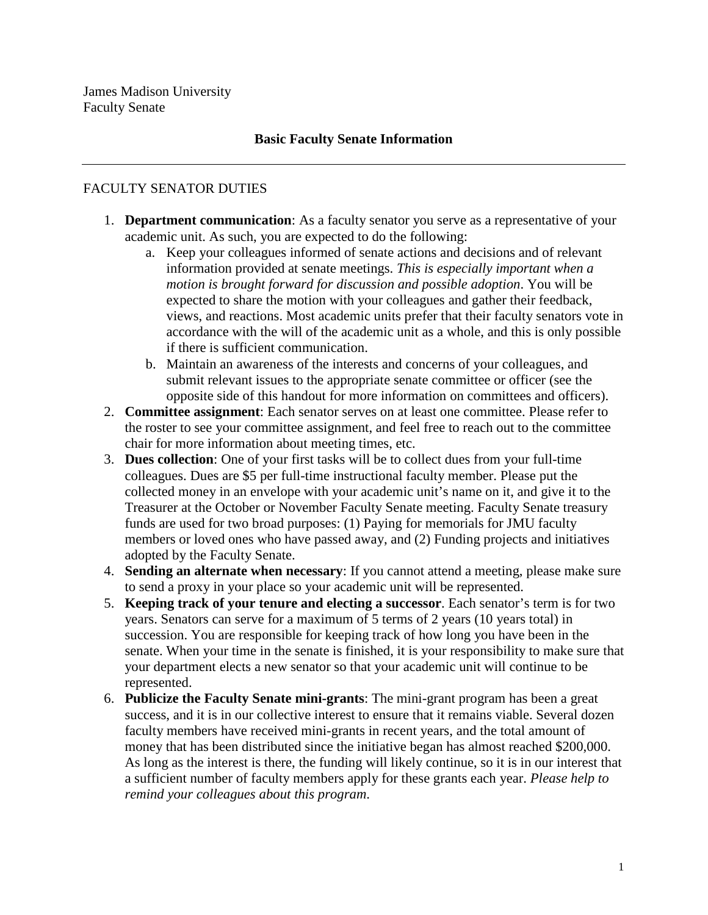# **Basic Faculty Senate Information**

# FACULTY SENATOR DUTIES

- 1. **Department communication**: As a faculty senator you serve as a representative of your academic unit. As such, you are expected to do the following:
	- a. Keep your colleagues informed of senate actions and decisions and of relevant information provided at senate meetings. *This is especially important when a motion is brought forward for discussion and possible adoption*. You will be expected to share the motion with your colleagues and gather their feedback, views, and reactions. Most academic units prefer that their faculty senators vote in accordance with the will of the academic unit as a whole, and this is only possible if there is sufficient communication.
	- b. Maintain an awareness of the interests and concerns of your colleagues, and submit relevant issues to the appropriate senate committee or officer (see the opposite side of this handout for more information on committees and officers).
- 2. **Committee assignment**: Each senator serves on at least one committee. Please refer to the roster to see your committee assignment, and feel free to reach out to the committee chair for more information about meeting times, etc.
- 3. **Dues collection**: One of your first tasks will be to collect dues from your full-time colleagues. Dues are \$5 per full-time instructional faculty member. Please put the collected money in an envelope with your academic unit's name on it, and give it to the Treasurer at the October or November Faculty Senate meeting. Faculty Senate treasury funds are used for two broad purposes: (1) Paying for memorials for JMU faculty members or loved ones who have passed away, and (2) Funding projects and initiatives adopted by the Faculty Senate.
- 4. **Sending an alternate when necessary**: If you cannot attend a meeting, please make sure to send a proxy in your place so your academic unit will be represented.
- 5. **Keeping track of your tenure and electing a successor**. Each senator's term is for two years. Senators can serve for a maximum of 5 terms of 2 years (10 years total) in succession. You are responsible for keeping track of how long you have been in the senate. When your time in the senate is finished, it is your responsibility to make sure that your department elects a new senator so that your academic unit will continue to be represented.
- 6. **Publicize the Faculty Senate mini-grants**: The mini-grant program has been a great success, and it is in our collective interest to ensure that it remains viable. Several dozen faculty members have received mini-grants in recent years, and the total amount of money that has been distributed since the initiative began has almost reached \$200,000. As long as the interest is there, the funding will likely continue, so it is in our interest that a sufficient number of faculty members apply for these grants each year. *Please help to remind your colleagues about this program*.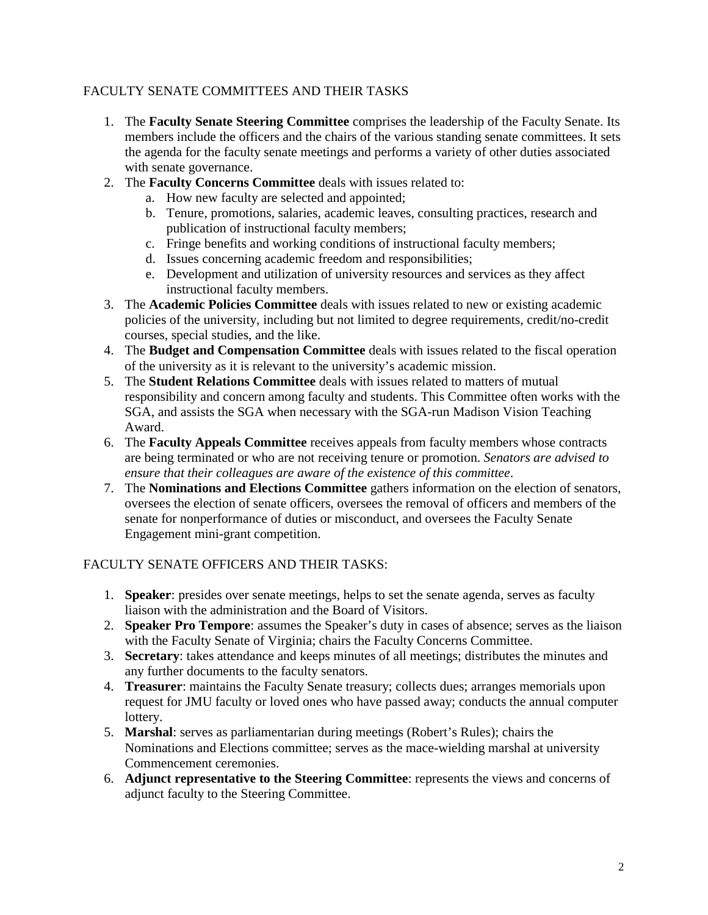### FACULTY SENATE COMMITTEES AND THEIR TASKS

- 1. The **Faculty Senate Steering Committee** comprises the leadership of the Faculty Senate. Its members include the officers and the chairs of the various standing senate committees. It sets the agenda for the faculty senate meetings and performs a variety of other duties associated with senate governance.
- 2. The **Faculty Concerns Committee** deals with issues related to:
	- a. How new faculty are selected and appointed;
	- b. Tenure, promotions, salaries, academic leaves, consulting practices, research and publication of instructional faculty members;
	- c. Fringe benefits and working conditions of instructional faculty members;
	- d. Issues concerning academic freedom and responsibilities;
	- e. Development and utilization of university resources and services as they affect instructional faculty members.
- 3. The **Academic Policies Committee** deals with issues related to new or existing academic policies of the university, including but not limited to degree requirements, credit/no-credit courses, special studies, and the like.
- 4. The **Budget and Compensation Committee** deals with issues related to the fiscal operation of the university as it is relevant to the university's academic mission.
- 5. The **Student Relations Committee** deals with issues related to matters of mutual responsibility and concern among faculty and students. This Committee often works with the SGA, and assists the SGA when necessary with the SGA-run Madison Vision Teaching Award.
- 6. The **Faculty Appeals Committee** receives appeals from faculty members whose contracts are being terminated or who are not receiving tenure or promotion. *Senators are advised to ensure that their colleagues are aware of the existence of this committee*.
- 7. The **Nominations and Elections Committee** gathers information on the election of senators, oversees the election of senate officers, oversees the removal of officers and members of the senate for nonperformance of duties or misconduct, and oversees the Faculty Senate Engagement mini-grant competition.

# FACULTY SENATE OFFICERS AND THEIR TASKS:

- 1. **Speaker**: presides over senate meetings, helps to set the senate agenda, serves as faculty liaison with the administration and the Board of Visitors.
- 2. **Speaker Pro Tempore**: assumes the Speaker's duty in cases of absence; serves as the liaison with the Faculty Senate of Virginia; chairs the Faculty Concerns Committee.
- 3. **Secretary**: takes attendance and keeps minutes of all meetings; distributes the minutes and any further documents to the faculty senators.
- 4. **Treasurer**: maintains the Faculty Senate treasury; collects dues; arranges memorials upon request for JMU faculty or loved ones who have passed away; conducts the annual computer lottery.
- 5. **Marshal**: serves as parliamentarian during meetings (Robert's Rules); chairs the Nominations and Elections committee; serves as the mace-wielding marshal at university Commencement ceremonies.
- 6. **Adjunct representative to the Steering Committee**: represents the views and concerns of adjunct faculty to the Steering Committee.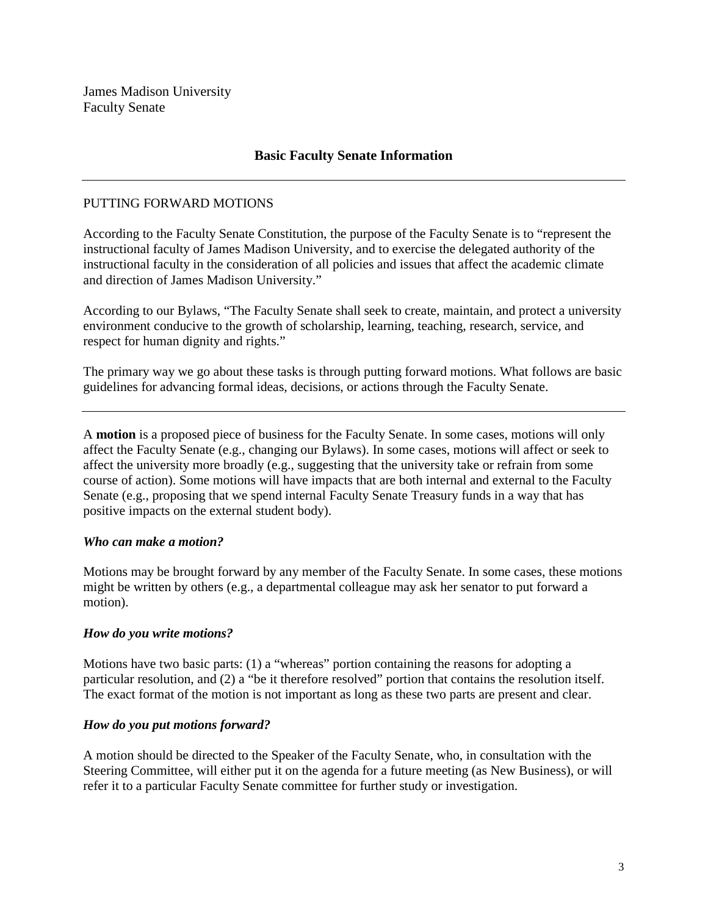### **Basic Faculty Senate Information**

#### PUTTING FORWARD MOTIONS

According to the Faculty Senate Constitution, the purpose of the Faculty Senate is to "represent the instructional faculty of James Madison University, and to exercise the delegated authority of the instructional faculty in the consideration of all policies and issues that affect the academic climate and direction of James Madison University."

According to our Bylaws, "The Faculty Senate shall seek to create, maintain, and protect a university environment conducive to the growth of scholarship, learning, teaching, research, service, and respect for human dignity and rights."

The primary way we go about these tasks is through putting forward motions. What follows are basic guidelines for advancing formal ideas, decisions, or actions through the Faculty Senate.

A **motion** is a proposed piece of business for the Faculty Senate. In some cases, motions will only affect the Faculty Senate (e.g., changing our Bylaws). In some cases, motions will affect or seek to affect the university more broadly (e.g., suggesting that the university take or refrain from some course of action). Some motions will have impacts that are both internal and external to the Faculty Senate (e.g., proposing that we spend internal Faculty Senate Treasury funds in a way that has positive impacts on the external student body).

#### *Who can make a motion?*

Motions may be brought forward by any member of the Faculty Senate. In some cases, these motions might be written by others (e.g., a departmental colleague may ask her senator to put forward a motion).

#### *How do you write motions?*

Motions have two basic parts: (1) a "whereas" portion containing the reasons for adopting a particular resolution, and (2) a "be it therefore resolved" portion that contains the resolution itself. The exact format of the motion is not important as long as these two parts are present and clear.

#### *How do you put motions forward?*

A motion should be directed to the Speaker of the Faculty Senate, who, in consultation with the Steering Committee, will either put it on the agenda for a future meeting (as New Business), or will refer it to a particular Faculty Senate committee for further study or investigation.